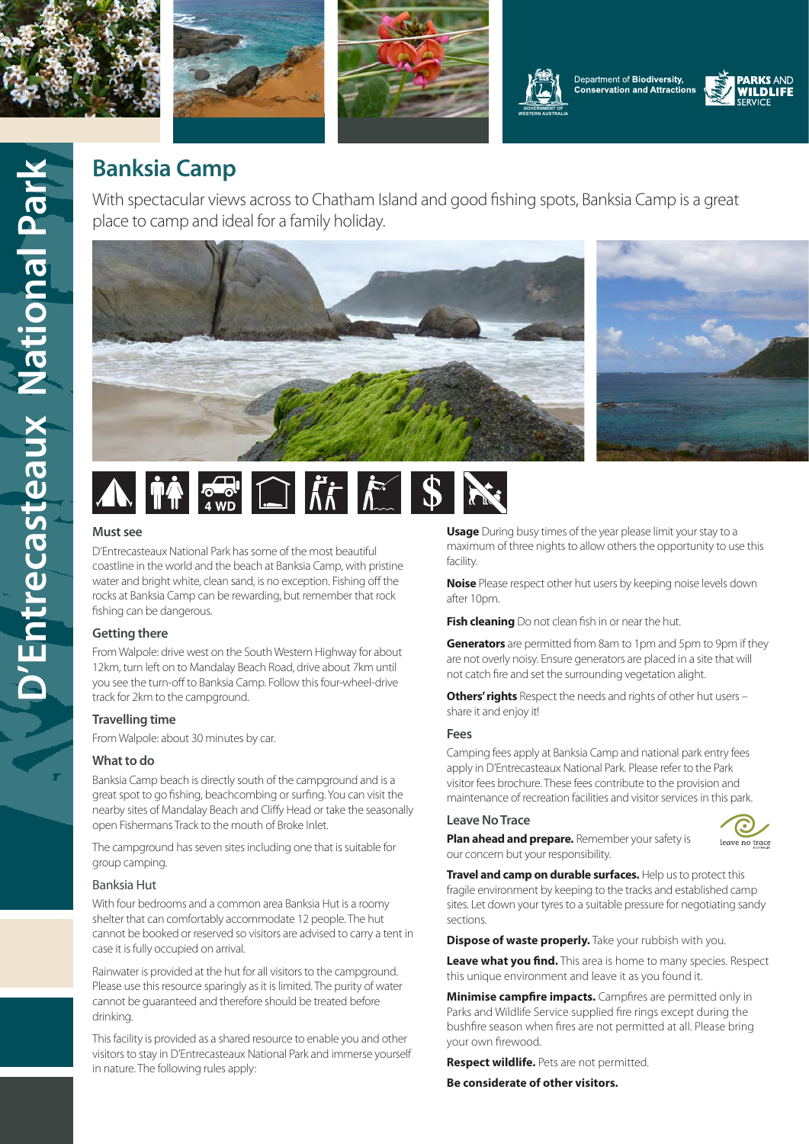











# **Banksia Camp**

With spectacular views across to Chatham Island and good fishing spots, Banksia Camp is a great place to camp and ideal for a family holiday.





## **Must see**

D'Entrecasteaux National Park has some of the most beautiful coastline in the world and the beach at Banksia Camp, with pristine water and bright white, clean sand, is no exception. Fishing off the rocks at Banksia Camp can be rewarding, but remember that rock fishing can be dangerous.

#### **Getting there**

From Walpole: drive west on the South Western Highway for about 12km, turn left on to Mandalay Beach Road, drive about 7km until you see the turn-off to Banksia Camp. Follow this four-wheel-drive track for 2km to the campground.

## **Travelling time**

From Walpole: about 30 minutes by car.

## **What to do**

Banksia Camp beach is directly south of the campground and is a great spot to go fishing, beachcombing or surfing. You can visit the nearby sites of Mandalay Beach and Cliffy Head or take the seasonally open Fishermans Track to the mouth of Broke Inlet.

The campground has seven sites including one that is suitable for group camping.

## Banksia Hut

With four bedrooms and a common area Banksia Hut is a roomy shelter that can comfortably accommodate 12 people. The hut cannot be booked or reserved so visitors are advised to carry a tent in case it is fully occupied on arrival.

Rainwater is provided at the hut for all visitors to the campground. Please use this resource sparingly as it is limited. The purity of water cannot be guaranteed and therefore should be treated before drinking.

This facility is provided as a shared resource to enable you and other visitors to stay in D'Entrecasteaux National Park and immerse yourself in nature. The following rules apply:

**Usage** During busy times of the year please limit your stay to a maximum of three nights to allow others the opportunity to use this facility.

**Noise** Please respect other hut users by keeping noise levels down after 10pm.

**Fish cleaning** Do not clean fish in or near the hut.

**Generators** are permitted from 8am to 1pm and 5pm to 9pm if they are not overly noisy. Ensure generators are placed in a site that will not catch fire and set the surrounding vegetation alight.

**Others' rights** Respect the needs and rights of other hut users – share it and enjoy it!

#### **Fees**

Camping fees apply at Banksia Camp and national park entry fees apply in D'Entrecasteaux National Park. Please refer to the Park visitor fees brochure. These fees contribute to the provision and maintenance of recreation facilities and visitor services in this park.

#### **Leave No Trace**



**Plan ahead and prepare.** Remember your safety is our concern but your responsibility.

**Travel and camp on durable surfaces.** Help us to protect this fragile environment by keeping to the tracks and established camp sites. Let down your tyres to a suitable pressure for negotiating sandy sections.

**Dispose of waste properly.** Take your rubbish with you.

**Leave what you find.** This area is home to many species. Respect this unique environment and leave it as you found it.

**Minimise campfire impacts.** Campfires are permitted only in Parks and Wildlife Service supplied fire rings except during the bushfire season when fires are not permitted at all. Please bring your own firewood.

**Respect wildlife.** Pets are not permitted.

**Be considerate of other visitors.**